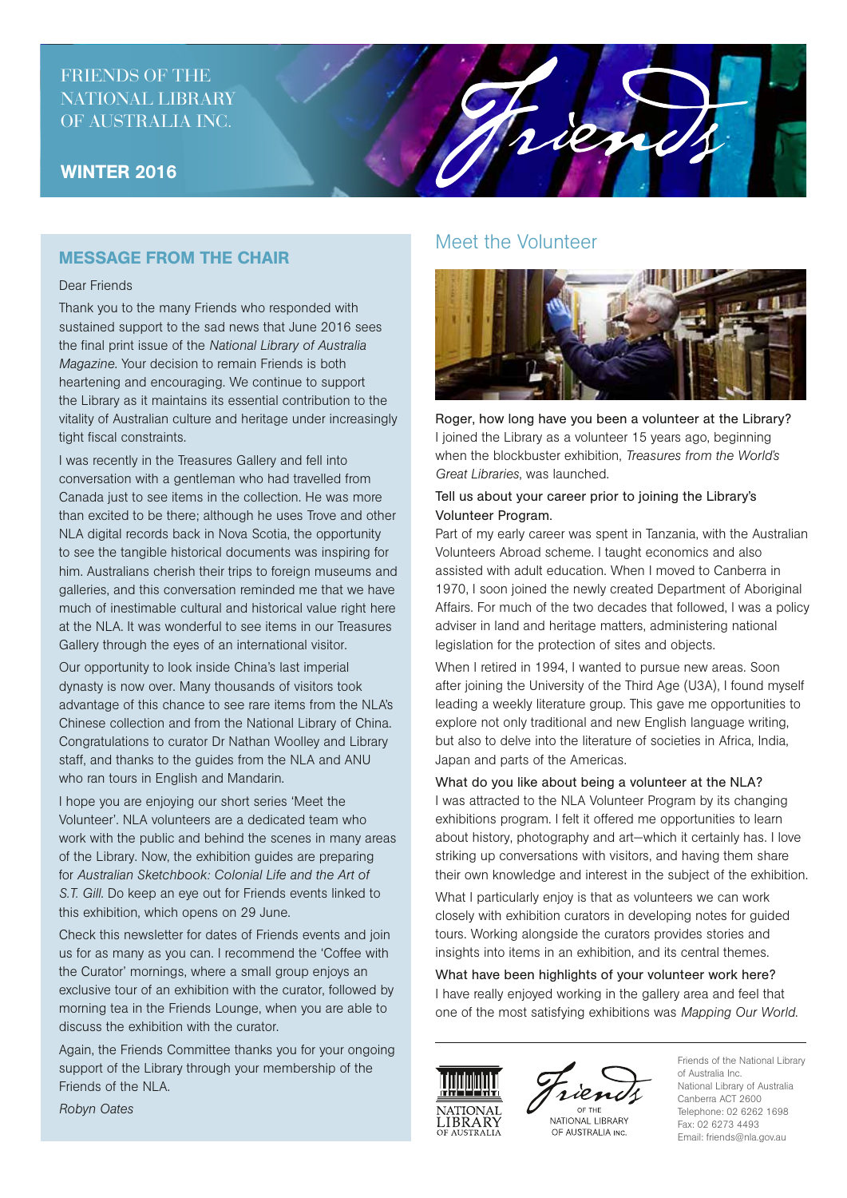# FRIENDS OF THE NATIONAL LIBRARY OF AUSTRALIA INC.

### WINTER 2016

## MESSAGE FROM THE CHAIR

#### Dear Friends

Thank you to the many Friends who responded with sustained support to the sad news that June 2016 sees the final print issue of the *National Library of Australia Magazine*. Your decision to remain Friends is both heartening and encouraging. We continue to support the Library as it maintains its essential contribution to the vitality of Australian culture and heritage under increasingly tight fiscal constraints.

I was recently in the Treasures Gallery and fell into conversation with a gentleman who had travelled from Canada just to see items in the collection. He was more than excited to be there; although he uses Trove and other NLA digital records back in Nova Scotia, the opportunity to see the tangible historical documents was inspiring for him. Australians cherish their trips to foreign museums and galleries, and this conversation reminded me that we have much of inestimable cultural and historical value right here at the NLA. It was wonderful to see items in our Treasures Gallery through the eyes of an international visitor.

Our opportunity to look inside China's last imperial dynasty is now over. Many thousands of visitors took advantage of this chance to see rare items from the NLA's Chinese collection and from the National Library of China. Congratulations to curator Dr Nathan Woolley and Library staff, and thanks to the guides from the NLA and ANU who ran tours in English and Mandarin.

I hope you are enjoying our short series 'Meet the Volunteer'. NLA volunteers are a dedicated team who work with the public and behind the scenes in many areas of the Library. Now, the exhibition guides are preparing for *Australian Sketchbook: Colonial Life and the Art of S.T. Gill*. Do keep an eye out for Friends events linked to this exhibition, which opens on 29 June.

Check this newsletter for dates of Friends events and join us for as many as you can. I recommend the 'Coffee with the Curator' mornings, where a small group enjoys an exclusive tour of an exhibition with the curator, followed by morning tea in the Friends Lounge, when you are able to discuss the exhibition with the curator.

Again, the Friends Committee thanks you for your ongoing support of the Library through your membership of the Friends of the NLA.

## Meet the Volunteer

rien



Roger, how long have you been a volunteer at the Library? I joined the Library as a volunteer 15 years ago, beginning when the blockbuster exhibition, *Treasures from the World's Great Libraries*, was launched.

#### Tell us about your career prior to joining the Library's Volunteer Program.

Part of my early career was spent in Tanzania, with the Australian Volunteers Abroad scheme. I taught economics and also assisted with adult education. When I moved to Canberra in 1970, I soon joined the newly created Department of Aboriginal Affairs. For much of the two decades that followed, I was a policy adviser in land and heritage matters, administering national legislation for the protection of sites and objects.

When I retired in 1994, I wanted to pursue new areas. Soon after joining the University of the Third Age (U3A), I found myself leading a weekly literature group. This gave me opportunities to explore not only traditional and new English language writing, but also to delve into the literature of societies in Africa, India, Japan and parts of the Americas.

What do you like about being a volunteer at the NLA? I was attracted to the NLA Volunteer Program by its changing exhibitions program. I felt it offered me opportunities to learn about history, photography and art—which it certainly has. I love striking up conversations with visitors, and having them share their own knowledge and interest in the subject of the exhibition.

What I particularly enjoy is that as volunteers we can work closely with exhibition curators in developing notes for guided tours. Working alongside the curators provides stories and insights into items in an exhibition, and its central themes.

What have been highlights of your volunteer work here? I have really enjoyed working in the gallery area and feel that one of the most satisfying exhibitions was *Mapping Our World*.





NATIONAL LIBRARY OF AUSTRALIA INC.

Friends of the National Library of Australia Inc. National Library of Australia Canberra ACT 2600 Telephone: 02 6262 1698 Fax: 02 6273 4493 Email: friends@nla.gov.au

*Robyn Oates*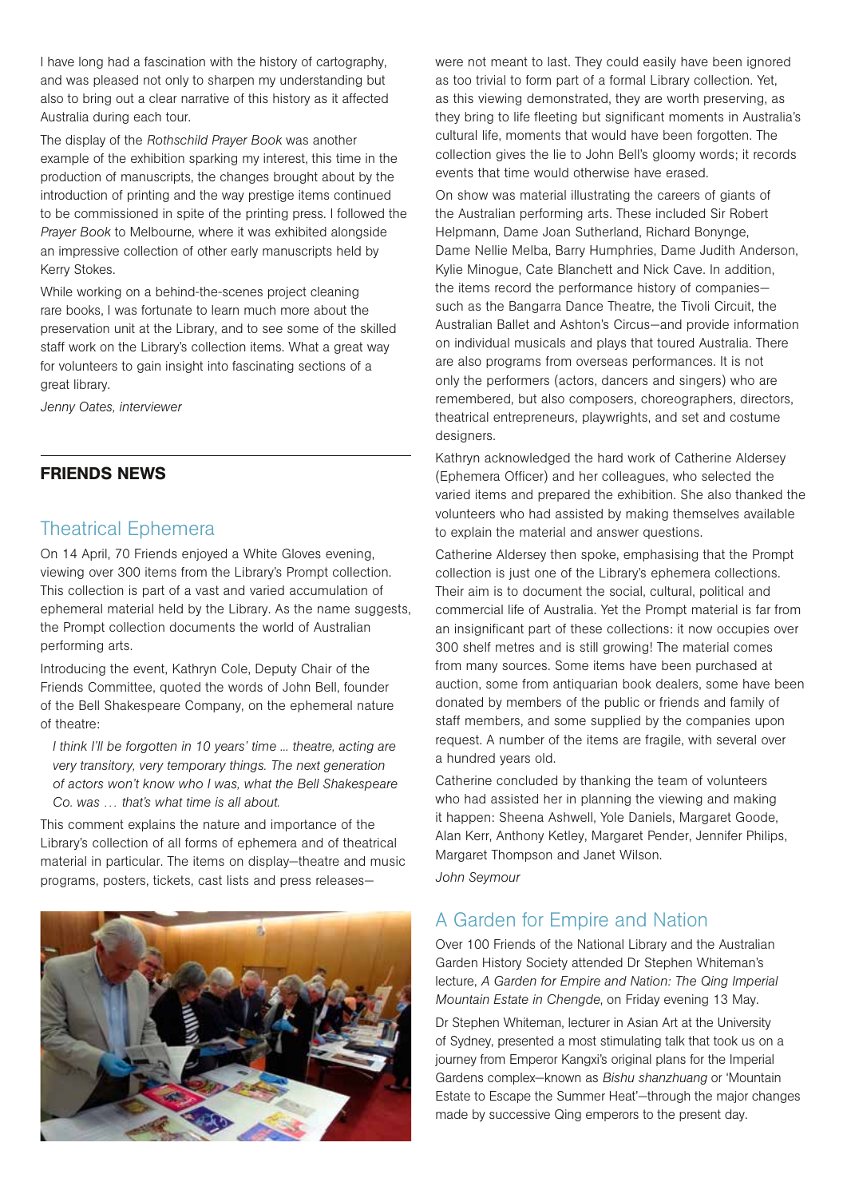I have long had a fascination with the history of cartography, and was pleased not only to sharpen my understanding but also to bring out a clear narrative of this history as it affected Australia during each tour.

The display of the *Rothschild Prayer Book* was another example of the exhibition sparking my interest, this time in the production of manuscripts, the changes brought about by the introduction of printing and the way prestige items continued to be commissioned in spite of the printing press. I followed the *Prayer Book* to Melbourne, where it was exhibited alongside an impressive collection of other early manuscripts held by Kerry Stokes.

While working on a behind-the-scenes project cleaning rare books, I was fortunate to learn much more about the preservation unit at the Library, and to see some of the skilled staff work on the Library's collection items. What a great way for volunteers to gain insight into fascinating sections of a great library.

*Jenny Oates, interviewer*

### FRIENDS NEWS

## Theatrical Ephemera

On 14 April, 70 Friends enjoyed a White Gloves evening, viewing over 300 items from the Library's Prompt collection. This collection is part of a vast and varied accumulation of ephemeral material held by the Library. As the name suggests, the Prompt collection documents the world of Australian performing arts.

Introducing the event, Kathryn Cole, Deputy Chair of the Friends Committee, quoted the words of John Bell, founder of the Bell Shakespeare Company, on the ephemeral nature of theatre:

*I think I'll be forgotten in 10 years' time ... theatre, acting are very transitory, very temporary things. The next generation of actors won't know who I was, what the Bell Shakespeare Co. was … that's what time is all about.*

This comment explains the nature and importance of the Library's collection of all forms of ephemera and of theatrical material in particular. The items on display—theatre and music programs, posters, tickets, cast lists and press releases—



were not meant to last. They could easily have been ignored as too trivial to form part of a formal Library collection. Yet, as this viewing demonstrated, they are worth preserving, as they bring to life fleeting but significant moments in Australia's cultural life, moments that would have been forgotten. The collection gives the lie to John Bell's gloomy words; it records events that time would otherwise have erased.

On show was material illustrating the careers of giants of the Australian performing arts. These included Sir Robert Helpmann, Dame Joan Sutherland, Richard Bonynge, Dame Nellie Melba, Barry Humphries, Dame Judith Anderson, Kylie Minogue, Cate Blanchett and Nick Cave. In addition, the items record the performance history of companies such as the Bangarra Dance Theatre, the Tivoli Circuit, the Australian Ballet and Ashton's Circus—and provide information on individual musicals and plays that toured Australia. There are also programs from overseas performances. It is not only the performers (actors, dancers and singers) who are remembered, but also composers, choreographers, directors, theatrical entrepreneurs, playwrights, and set and costume designers.

Kathryn acknowledged the hard work of Catherine Aldersey (Ephemera Officer) and her colleagues, who selected the varied items and prepared the exhibition. She also thanked the volunteers who had assisted by making themselves available to explain the material and answer questions.

Catherine Aldersey then spoke, emphasising that the Prompt collection is just one of the Library's ephemera collections. Their aim is to document the social, cultural, political and commercial life of Australia. Yet the Prompt material is far from an insignificant part of these collections: it now occupies over 300 shelf metres and is still growing! The material comes from many sources. Some items have been purchased at auction, some from antiquarian book dealers, some have been donated by members of the public or friends and family of staff members, and some supplied by the companies upon request. A number of the items are fragile, with several over a hundred years old.

Catherine concluded by thanking the team of volunteers who had assisted her in planning the viewing and making it happen: Sheena Ashwell, Yole Daniels, Margaret Goode, Alan Kerr, Anthony Ketley, Margaret Pender, Jennifer Philips, Margaret Thompson and Janet Wilson.

*John Seymour*

# A Garden for Empire and Nation

Over 100 Friends of the National Library and the Australian Garden History Society attended Dr Stephen Whiteman's lecture, *A Garden for Empire and Nation: The Qing Imperial Mountain Estate in Chengde*, on Friday evening 13 May.

Dr Stephen Whiteman, lecturer in Asian Art at the University of Sydney, presented a most stimulating talk that took us on a journey from Emperor Kangxi's original plans for the Imperial Gardens complex—known as *Bishu shanzhuang* or 'Mountain Estate to Escape the Summer Heat'—through the major changes made by successive Qing emperors to the present day.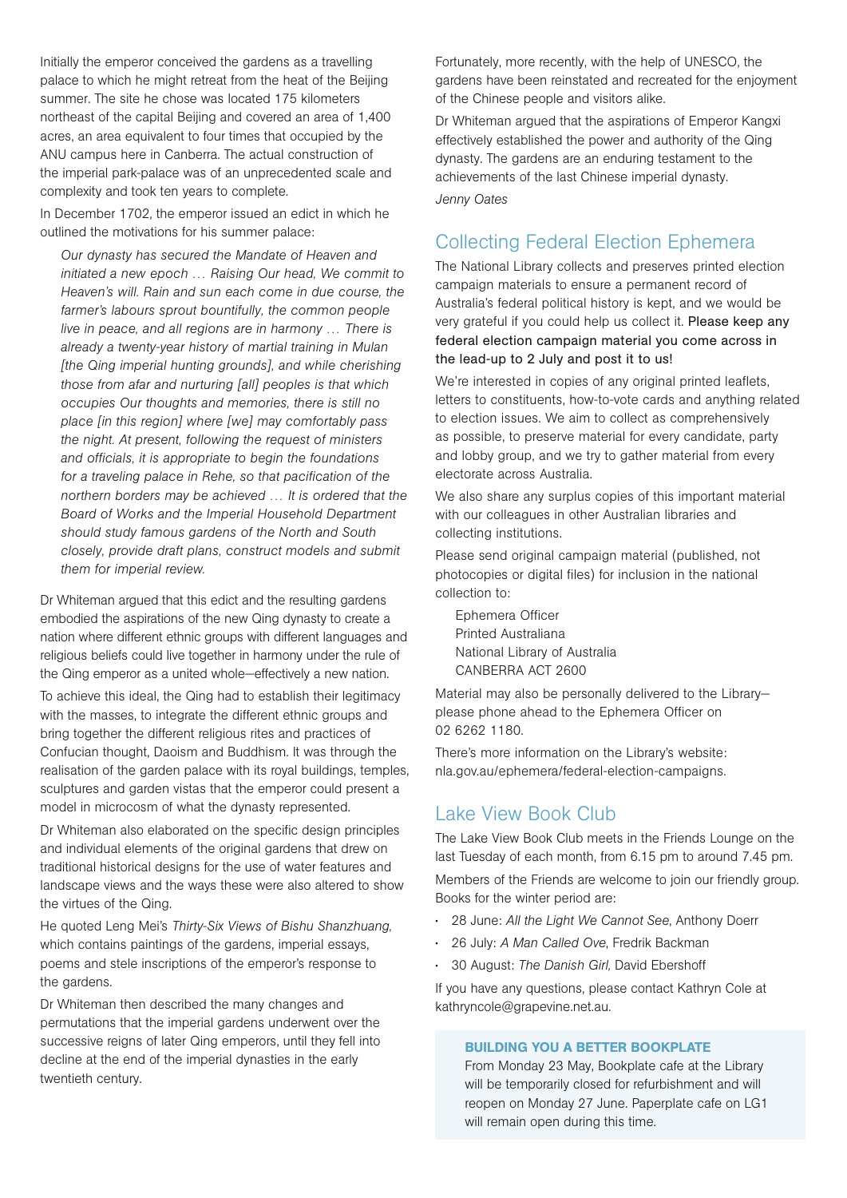Initially the emperor conceived the gardens as a travelling palace to which he might retreat from the heat of the Beijing summer. The site he chose was located 175 kilometers northeast of the capital Beijing and covered an area of 1,400 acres, an area equivalent to four times that occupied by the ANU campus here in Canberra. The actual construction of the imperial park-palace was of an unprecedented scale and complexity and took ten years to complete.

In December 1702, the emperor issued an edict in which he outlined the motivations for his summer palace:

*Our dynasty has secured the Mandate of Heaven and initiated a new epoch … Raising Our head, We commit to Heaven's will. Rain and sun each come in due course, the farmer's labours sprout bountifully, the common people live in peace, and all regions are in harmony … There is already a twenty-year history of martial training in Mulan [the Qing imperial hunting grounds], and while cherishing those from afar and nurturing [all] peoples is that which occupies Our thoughts and memories, there is still no place [in this region] where [we] may comfortably pass the night. At present, following the request of ministers and officials, it is appropriate to begin the foundations for a traveling palace in Rehe, so that pacification of the northern borders may be achieved … It is ordered that the Board of Works and the Imperial Household Department should study famous gardens of the North and South closely, provide draft plans, construct models and submit them for imperial review.*

Dr Whiteman argued that this edict and the resulting gardens embodied the aspirations of the new Qing dynasty to create a nation where different ethnic groups with different languages and religious beliefs could live together in harmony under the rule of the Qing emperor as a united whole—effectively a new nation.

To achieve this ideal, the Qing had to establish their legitimacy with the masses, to integrate the different ethnic groups and bring together the different religious rites and practices of Confucian thought, Daoism and Buddhism. It was through the realisation of the garden palace with its royal buildings, temples, sculptures and garden vistas that the emperor could present a model in microcosm of what the dynasty represented.

Dr Whiteman also elaborated on the specific design principles and individual elements of the original gardens that drew on traditional historical designs for the use of water features and landscape views and the ways these were also altered to show the virtues of the Qing.

He quoted Leng Mei's *Thirty-Six Views of Bishu Shanzhuang,* which contains paintings of the gardens, imperial essays, poems and stele inscriptions of the emperor's response to the gardens.

Dr Whiteman then described the many changes and permutations that the imperial gardens underwent over the successive reigns of later Qing emperors, until they fell into decline at the end of the imperial dynasties in the early twentieth century.

Fortunately, more recently, with the help of UNESCO, the gardens have been reinstated and recreated for the enjoyment of the Chinese people and visitors alike.

Dr Whiteman argued that the aspirations of Emperor Kangxi effectively established the power and authority of the Qing dynasty. The gardens are an enduring testament to the achievements of the last Chinese imperial dynasty. *Jenny Oates* 

# Collecting Federal Election Ephemera

The National Library collects and preserves printed election campaign materials to ensure a permanent record of Australia's federal political history is kept, and we would be very grateful if you could help us collect it. Please keep any federal election campaign material you come across in the lead-up to 2 July and post it to us!

We're interested in copies of any original printed leaflets, letters to constituents, how-to-vote cards and anything related to election issues. We aim to collect as comprehensively as possible, to preserve material for every candidate, party and lobby group, and we try to gather material from every electorate across Australia.

We also share any surplus copies of this important material with our colleagues in other Australian libraries and collecting institutions.

Please send original campaign material (published, not photocopies or digital files) for inclusion in the national collection to:

Ephemera Officer Printed Australiana National Library of Australia CANBERRA ACT 2600

Material may also be personally delivered to the Library please phone ahead to the Ephemera Officer on 02 6262 1180.

There's more information on the Library's website: nla.gov.au/ephemera/federal-election-campaigns.

# Lake View Book Club

The Lake View Book Club meets in the Friends Lounge on the last Tuesday of each month, from 6.15 pm to around 7.45 pm. Members of the Friends are welcome to join our friendly group. Books for the winter period are:

- 28 June: *All the Light We Cannot See*, Anthony Doerr
- 26 July: *A Man Called Ove*, Fredrik Backman
- 30 August: *The Danish Girl,* David Ebershoff

If you have any questions, please contact Kathryn Cole at kathryncole@grapevine.net.au.

#### BUILDING YOU A BETTER BOOKPLATE

From Monday 23 May, Bookplate cafe at the Library will be temporarily closed for refurbishment and will reopen on Monday 27 June. Paperplate cafe on LG1 will remain open during this time.